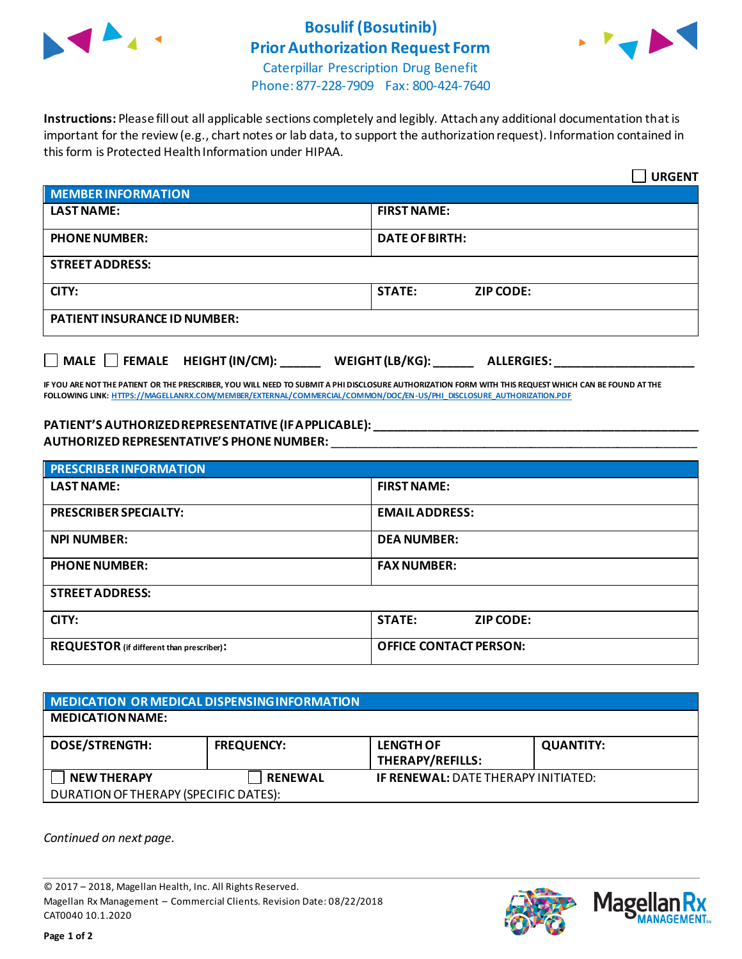

## **Bosulif (Bosutinib) Prior Authorization Request Form**



Caterpillar Prescription Drug Benefit Phone: 877-228-7909 Fax: 800-424-7640

**Instructions:** Please fill out all applicable sections completely and legibly. Attach any additional documentation that is important for the review (e.g., chart notes or lab data, to support the authorization request). Information contained in this form is Protected Health Information under HIPAA.

|                                           | <b>URGENT</b>                        |  |  |
|-------------------------------------------|--------------------------------------|--|--|
| <b>MEMBER INFORMATION</b>                 |                                      |  |  |
| <b>LAST NAME:</b>                         | <b>FIRST NAME:</b>                   |  |  |
| <b>PHONE NUMBER:</b>                      | <b>DATE OF BIRTH:</b>                |  |  |
| <b>STREET ADDRESS:</b>                    |                                      |  |  |
| CITY:                                     | <b>STATE:</b><br><b>ZIP CODE:</b>    |  |  |
| <b>PATIENT INSURANCE ID NUMBER:</b>       |                                      |  |  |
| $\Box$ MALE $\Box$ FEMALE HEIGHT (IN/CM): | WEIGHT (LB/KG):<br><b>ALLERGIES:</b> |  |  |

**IF YOU ARE NOT THE PATIENT OR THE PRESCRIBER, YOU WILL NEED TO SUBMIT A PHI DISCLOSURE AUTHORIZATION FORM WITH THIS REQUEST WHICH CAN BE FOUND AT THE FOLLOWING LINK[: HTTPS://MAGELLANRX.COM/MEMBER/EXTERNAL/COMMERCIAL/COMMON/DOC/EN-US/PHI\\_DISCLOSURE\\_AUTHORIZATION.PDF](https://magellanrx.com/member/external/commercial/common/doc/en-us/PHI_Disclosure_Authorization.pdf)**

## **PATIENT'S AUTHORIZED REPRESENTATIVE (IF APPLICABLE): \_\_\_\_\_\_\_\_\_\_\_\_\_\_\_\_\_\_\_\_\_\_\_\_\_\_\_\_\_\_\_\_\_\_\_\_\_\_\_\_\_\_\_\_\_\_\_\_\_ AUTHORIZED REPRESENTATIVE'S PHONE NUMBER:** \_\_\_\_\_\_\_\_\_\_\_\_\_\_\_\_\_\_\_\_\_\_\_\_\_\_\_\_\_\_\_\_\_\_\_\_\_\_\_\_\_\_\_\_\_\_\_\_\_\_\_\_\_\_\_

| <b>PRESCRIBER INFORMATION</b>             |                               |  |
|-------------------------------------------|-------------------------------|--|
| <b>LAST NAME:</b>                         | <b>FIRST NAME:</b>            |  |
| <b>PRESCRIBER SPECIALTY:</b>              | <b>EMAIL ADDRESS:</b>         |  |
| <b>NPI NUMBER:</b>                        | <b>DEA NUMBER:</b>            |  |
| <b>PHONE NUMBER:</b>                      | <b>FAX NUMBER:</b>            |  |
| <b>STREET ADDRESS:</b>                    |                               |  |
| CITY:                                     | <b>STATE:</b><br>ZIP CODE:    |  |
| REQUESTOR (if different than prescriber): | <b>OFFICE CONTACT PERSON:</b> |  |

| MEDICATION OR MEDICAL DISPENSING INFORMATION |                   |                                            |                  |  |  |
|----------------------------------------------|-------------------|--------------------------------------------|------------------|--|--|
| <b>MEDICATION NAME:</b>                      |                   |                                            |                  |  |  |
| <b>DOSE/STRENGTH:</b>                        | <b>FREQUENCY:</b> | <b>LENGTH OF</b><br>THERAPY/REFILLS:       | <b>QUANTITY:</b> |  |  |
| <b>NEW THERAPY</b>                           | <b>RENEWAL</b>    | <b>IF RENEWAL: DATE THERAPY INITIATED:</b> |                  |  |  |
| DURATION OF THERAPY (SPECIFIC DATES):        |                   |                                            |                  |  |  |

*Continued on next page.*

© 2017 – 2018, Magellan Health, Inc. All Rights Reserved. Magellan Rx Management – Commercial Clients. Revision Date: 08/22/2018 CAT0040 10.1.2020